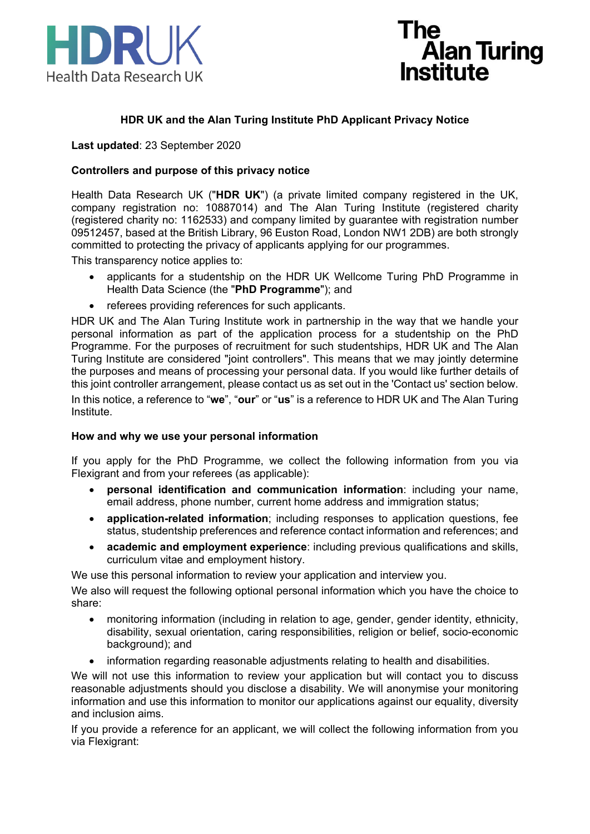



# **HDR UK and the Alan Turing Institute PhD Applicant Privacy Notice**

**Last updated**: 23 September 2020

## **Controllers and purpose of this privacy notice**

Health Data Research UK ("**HDR UK**") (a private limited company registered in the UK, company registration no: 10887014) and The Alan Turing Institute (registered charity (registered charity no: 1162533) and company limited by guarantee with registration number 09512457, based at the British Library, 96 Euston Road, London NW1 2DB) are both strongly committed to protecting the privacy of applicants applying for our programmes.

This transparency notice applies to:

- applicants for a studentship on the HDR UK Wellcome Turing PhD Programme in Health Data Science (the "**PhD Programme**"); and
- referees providing references for such applicants.

HDR UK and The Alan Turing Institute work in partnership in the way that we handle your personal information as part of the application process for a studentship on the PhD Programme. For the purposes of recruitment for such studentships, HDR UK and The Alan Turing Institute are considered "joint controllers". This means that we may jointly determine the purposes and means of processing your personal data. If you would like further details of this joint controller arrangement, please contact us as set out in the 'Contact us' section below. In this notice, a reference to "**we**", "**our**" or "**us**" is a reference to HDR UK and The Alan Turing

Institute.

#### **How and why we use your personal information**

If you apply for the PhD Programme, we collect the following information from you via Flexigrant and from your referees (as applicable):

- **personal identification and communication information**: including your name, email address, phone number, current home address and immigration status;
- **application-related information**; including responses to application questions, fee status, studentship preferences and reference contact information and references; and
- **academic and employment experience**: including previous qualifications and skills, curriculum vitae and employment history.

We use this personal information to review your application and interview you.

We also will request the following optional personal information which you have the choice to share:

- monitoring information (including in relation to age, gender, gender identity, ethnicity, disability, sexual orientation, caring responsibilities, religion or belief, socio-economic background); and
- information regarding reasonable adjustments relating to health and disabilities.

We will not use this information to review your application but will contact you to discuss reasonable adjustments should you disclose a disability. We will anonymise your monitoring information and use this information to monitor our applications against our equality, diversity and inclusion aims.

If you provide a reference for an applicant, we will collect the following information from you via Flexigrant: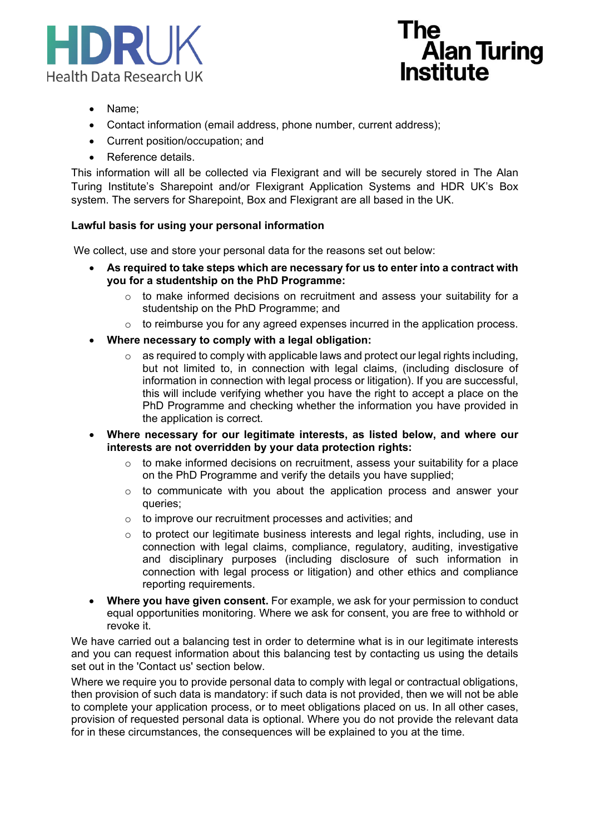



- Name;
- Contact information (email address, phone number, current address);
- Current position/occupation; and
- Reference details.

This information will all be collected via Flexigrant and will be securely stored in The Alan Turing Institute's Sharepoint and/or Flexigrant Application Systems and HDR UK's Box system. The servers for Sharepoint, Box and Flexigrant are all based in the UK.

#### **Lawful basis for using your personal information**

We collect, use and store your personal data for the reasons set out below:

- **As required to take steps which are necessary for us to enter into a contract with you for a studentship on the PhD Programme:**
	- $\circ$  to make informed decisions on recruitment and assess your suitability for a studentship on the PhD Programme; and
	- $\circ$  to reimburse you for any agreed expenses incurred in the application process.
- **Where necessary to comply with a legal obligation:**
	- $\circ$  as required to comply with applicable laws and protect our legal rights including. but not limited to, in connection with legal claims, (including disclosure of information in connection with legal process or litigation). If you are successful, this will include verifying whether you have the right to accept a place on the PhD Programme and checking whether the information you have provided in the application is correct.
- **Where necessary for our legitimate interests, as listed below, and where our interests are not overridden by your data protection rights:**
	- $\circ$  to make informed decisions on recruitment, assess your suitability for a place on the PhD Programme and verify the details you have supplied;
	- o to communicate with you about the application process and answer your queries;
	- o to improve our recruitment processes and activities; and
	- o to protect our legitimate business interests and legal rights, including, use in connection with legal claims, compliance, regulatory, auditing, investigative and disciplinary purposes (including disclosure of such information in connection with legal process or litigation) and other ethics and compliance reporting requirements.
- **Where you have given consent.** For example, we ask for your permission to conduct equal opportunities monitoring. Where we ask for consent, you are free to withhold or revoke it.

We have carried out a balancing test in order to determine what is in our legitimate interests and you can request information about this balancing test by contacting us using the details set out in the 'Contact us' section below.

Where we require you to provide personal data to comply with legal or contractual obligations, then provision of such data is mandatory: if such data is not provided, then we will not be able to complete your application process, or to meet obligations placed on us. In all other cases, provision of requested personal data is optional. Where you do not provide the relevant data for in these circumstances, the consequences will be explained to you at the time.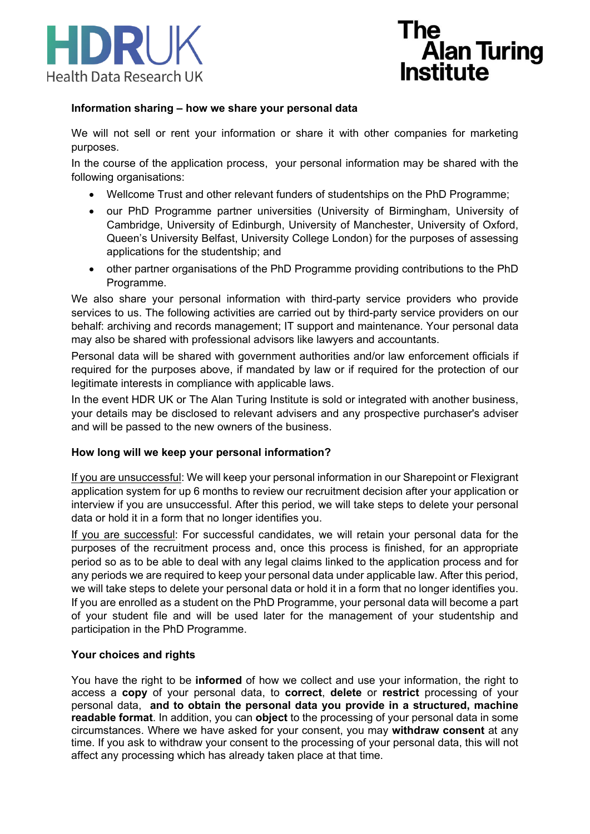



## **Information sharing – how we share your personal data**

We will not sell or rent your information or share it with other companies for marketing purposes.

In the course of the application process, your personal information may be shared with the following organisations:

- Wellcome Trust and other relevant funders of studentships on the PhD Programme;
- our PhD Programme partner universities (University of Birmingham, University of Cambridge, University of Edinburgh, University of Manchester, University of Oxford, Queen's University Belfast, University College London) for the purposes of assessing applications for the studentship; and
- other partner organisations of the PhD Programme providing contributions to the PhD Programme.

We also share your personal information with third-party service providers who provide services to us. The following activities are carried out by third-party service providers on our behalf: archiving and records management; IT support and maintenance. Your personal data may also be shared with professional advisors like lawyers and accountants.

Personal data will be shared with government authorities and/or law enforcement officials if required for the purposes above, if mandated by law or if required for the protection of our legitimate interests in compliance with applicable laws.

In the event HDR UK or The Alan Turing Institute is sold or integrated with another business, your details may be disclosed to relevant advisers and any prospective purchaser's adviser and will be passed to the new owners of the business.

## **How long will we keep your personal information?**

If you are unsuccessful: We will keep your personal information in our Sharepoint or Flexigrant application system for up 6 months to review our recruitment decision after your application or interview if you are unsuccessful. After this period, we will take steps to delete your personal data or hold it in a form that no longer identifies you.

If you are successful: For successful candidates, we will retain your personal data for the purposes of the recruitment process and, once this process is finished, for an appropriate period so as to be able to deal with any legal claims linked to the application process and for any periods we are required to keep your personal data under applicable law. After this period, we will take steps to delete your personal data or hold it in a form that no longer identifies you. If you are enrolled as a student on the PhD Programme, your personal data will become a part of your student file and will be used later for the management of your studentship and participation in the PhD Programme.

## **Your choices and rights**

You have the right to be **informed** of how we collect and use your information, the right to access a **copy** of your personal data, to **correct**, **delete** or **restrict** processing of your personal data, **and to obtain the personal data you provide in a structured, machine readable format**. In addition, you can **object** to the processing of your personal data in some circumstances. Where we have asked for your consent, you may **withdraw consent** at any time. If you ask to withdraw your consent to the processing of your personal data, this will not affect any processing which has already taken place at that time.